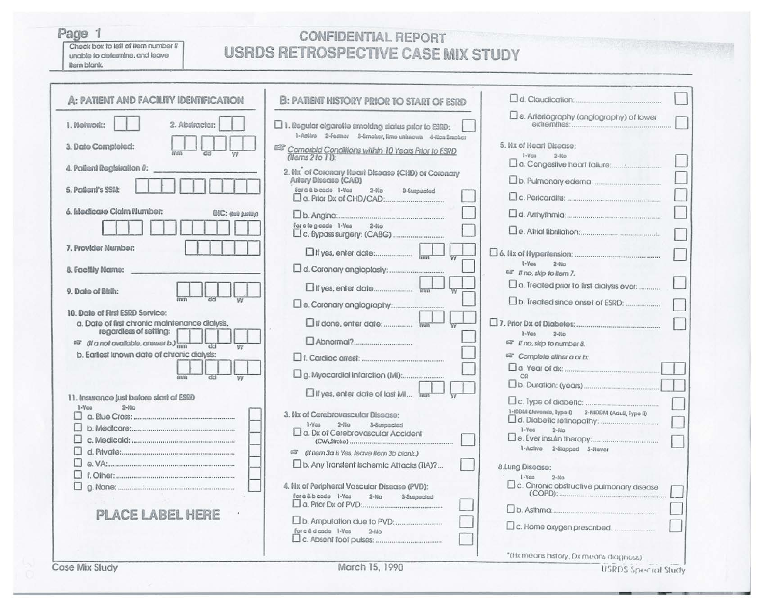## Page 1

Check box to left of liern number if unable to determine, and leave liam blank.

## **CONFIDENTIAL REPORT USRDS RETROSPECTIVE CASE MIX STUDY**

| <b>A: PATIENT AND FACILITY IDENTIFICATION</b>                                                               | <b>B: PATIENT MISTORY PRIOR TO START OF ESRD</b>                                                                                                 |                                                               |
|-------------------------------------------------------------------------------------------------------------|--------------------------------------------------------------------------------------------------------------------------------------------------|---------------------------------------------------------------|
| I. Nolwork:<br>2. Abstractor:                                                                               | $\square$ 1. Regular cigaretie smoking status prior to ESRD:                                                                                     | $\square$ e. Arieriography (anglography) of lower             |
| 3. Date Completed:                                                                                          | 1-Active 2-Fermer 3-limeter, firm unimoum 4-tion Smoker<br><sup>BSP</sup> Comprield Conditions within 10 Years Prior to ESRD<br>(thems 2 to 11): | 5. Nx of Heart Disease:<br>$1-Vca$<br>$2-810$                 |
| 4. Patient Registration 0:                                                                                  | 2. Nx <sup>o</sup> of Coronary Heart Disease (CHD) or Coronary                                                                                   | $\Box$ a. Congestive heart failure: $\Box$                    |
| 5. Pattent's SSN:                                                                                           | Ariery Disease (CAD)<br>For a & b cade 1-Ves<br>$2-110$<br>3-Suppopted                                                                           |                                                               |
| 6. Medicare Claim Number:<br>BIC: dall hallin                                                               |                                                                                                                                                  |                                                               |
|                                                                                                             | For a to g adde 1-Yes<br>$2-110$                                                                                                                 |                                                               |
| 7. Provider Number:                                                                                         |                                                                                                                                                  |                                                               |
| 8. Facility Name:                                                                                           |                                                                                                                                                  | $1-Y_{0.5}$<br>$2-8i$<br>ar If no, sldp to liem 7.            |
| 9. Date of Birth:                                                                                           |                                                                                                                                                  | $\square$ a. Treated prior to first dialysis ever:            |
|                                                                                                             |                                                                                                                                                  |                                                               |
| 10. Date of First ESRD Service:<br>a. Date of first chronic maintenance dialysis,<br>regardless of setting: |                                                                                                                                                  | $1-Y0.5$<br>$2-110$                                           |
| $\overline{w}$ ( <i>i</i> a not available, answer b.) $\frac{1}{n}$<br>$d$ ci                               |                                                                                                                                                  | <sup>63</sup> If no, sidp to number 8.                        |
| b. Earliest known date of chronic dialysis:                                                                 |                                                                                                                                                  | <sup>62</sup> Complete ellher a or b:                         |
|                                                                                                             |                                                                                                                                                  | OQ                                                            |
| 11. Insurance just before start of ESRD                                                                     | If yes, enter date of last MI Imm                                                                                                                |                                                               |
| $1-Vca$<br>$2-110$                                                                                          | 3. Nx of Cerebrovascular Disease:<br>$1-Y$ as<br>$2-11$ co<br>3-Suspecied                                                                        | 1-IDDM Cluvando, Typo 0 2-NIDDM (Adull, Typo ID               |
|                                                                                                             | $\Box$ a. Dx of Cerebrovascular Accident                                                                                                         | $1 - V$ ca<br>$2 - 510$                                       |
|                                                                                                             | (if Item 3a is Yes, Isave Item 3b blank.)                                                                                                        | 1-Active 2-Stopped 3-Never                                    |
|                                                                                                             | D. Any Translent Ischemic Attacks (TIA)?                                                                                                         | 8.Lung Disease:                                               |
| П<br>п                                                                                                      | 4. Nx of Peripheral Vascular Disease (PVD):                                                                                                      | $1-Yca$<br>$2-N0$<br>a. Chronic obstructive pulmonary disease |
|                                                                                                             | For a & b code 1-Yes<br>$2-MQ$<br>3-Suspecied                                                                                                    |                                                               |
| PLACE LABEL HERE                                                                                            |                                                                                                                                                  |                                                               |
|                                                                                                             | For c & d code 1-Yes<br>$2 - 840$                                                                                                                | $\square$ c. Home oxygen prescribed.                          |
| $8.81 - 8.1$                                                                                                | $1.58$ $3.000$                                                                                                                                   | "(Hx means history, Dx means diagnoss)                        |

March 15, 1990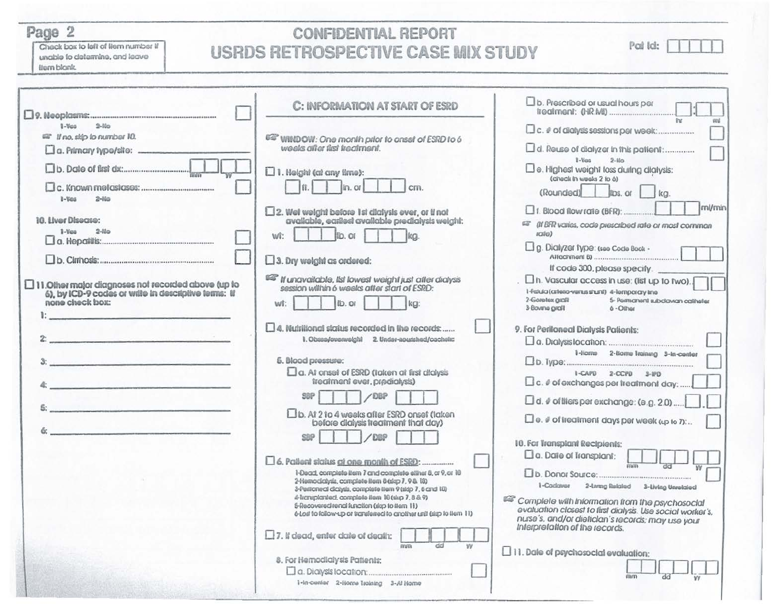Page 2

Check box to left of liem number if unable to determine, and leave tiom blank.

## **CONFIDENTIAL REPORT USRDS RETROSPECTIVE CASE MIX STUDY**

| Paillat |  |  |
|---------|--|--|
|         |  |  |

|                                                                                                                                      | C: INFORMATION AT START OF ESRD                                                                                                                                           | $\square$ b. Prescribed or usual hours per                                                                                                                                                           |
|--------------------------------------------------------------------------------------------------------------------------------------|---------------------------------------------------------------------------------------------------------------------------------------------------------------------------|------------------------------------------------------------------------------------------------------------------------------------------------------------------------------------------------------|
| $2-11a$<br>$1 - V_{00}$                                                                                                              |                                                                                                                                                                           | the.<br>red.<br>[C. # of dialysis sessions per week:                                                                                                                                                 |
| <sup>12</sup> If no, sido to number 10.                                                                                              | 637 WINDOW: One month prior to onset of ESRD to 6<br>weeks after first treatment.                                                                                         | a. Reuse of dialyzer in this patient:                                                                                                                                                                |
|                                                                                                                                      | $\square$ 1. Height (at any time):                                                                                                                                        | $1-Vcm$<br>$2-110$<br>Do. Highest weight loss during dialysis:<br>(check in weeks 2 to 6)                                                                                                            |
| $2-11a$<br>1-Ves                                                                                                                     | ln. or<br>lű.<br>cm.                                                                                                                                                      | (Rounded)<br>lips, or<br>k <sub>G</sub>                                                                                                                                                              |
| 16. Hver Disease:                                                                                                                    | $\square$ 2. Wet weight before 1st dialysis ever, or if not available, earliest available predialysis weight:                                                             | ml/min<br>$\Box$ f. Blood flow rate (BFR):<br>审                                                                                                                                                      |
| $1-V00$<br>$2-110$                                                                                                                   | llo, or<br>wt:<br>lka.                                                                                                                                                    | (If BFR varies, code prescribed rate or most common<br>$i$ die)                                                                                                                                      |
|                                                                                                                                      | $\square$ 3. Dry weight as ordered:                                                                                                                                       | Dg. Dialyzer type: (see Code Book -<br>If code 300, please specify.                                                                                                                                  |
| $\Box$ 11.0ther major diagnoses not recorded above (up to<br>6), by ICD-9 codes or write in descriptive terms: If<br>none check box: | <b>ES If unavailable, Ist lowest weight just after dialysis</b><br>session within 6 weeks after start of ESRD:                                                            | n. Vascular access in use: (list up to two).<br>I-Fistula (atteno-versus shumi) 4-Temporary Ime<br>2-Goretex graft<br>5- Permanent subclawan catheter                                                |
|                                                                                                                                      | ib.or<br>$k$ a:<br>wt:                                                                                                                                                    | 3-Bovine graft<br>6 - Olher                                                                                                                                                                          |
|                                                                                                                                      | 14. Nutritional status recorded in the records:                                                                                                                           | 9. For Periloneal Dialysis Palients:                                                                                                                                                                 |
|                                                                                                                                      | 1. Obses/averweight 2. Under-nousthed/cachete:                                                                                                                            | 1-Home 2-Nome Iraining 3-In-center                                                                                                                                                                   |
| $3:$ . The contract of the contract of the contract of $\mathcal{S}_1$                                                               | 5. Blood pressure:<br>a. At onset of ESRD (taken at first dialysis                                                                                                        |                                                                                                                                                                                                      |
| <u> 1995 - Jack Maria Barnett, fizik ba</u>                                                                                          | treatment ever, predialysis)                                                                                                                                              | I-CAPD 2-CCPD 3-IPD<br>$\square$ c. $\ell$ of exchanges per treatment day:                                                                                                                           |
| and the company of the company of the company                                                                                        | SBP<br>/DBP                                                                                                                                                               | $\Box$ d. $\rlap/v$ of thers per exchange: (e.g. 2.0)                                                                                                                                                |
|                                                                                                                                      | [ b. At 2 to 4 weeks after ESRD onset (taken<br>before dialysis freatment that day)                                                                                       | $\square$ e. $\#$ of treatment days per week $\omega$ to $n$ :                                                                                                                                       |
|                                                                                                                                      | S39<br>COLO                                                                                                                                                               | 10. For Transplant Recipients:                                                                                                                                                                       |
|                                                                                                                                      | 6. Patient status at one month of ESRD:                                                                                                                                   | $\square$ a. Date of Transplant:<br>mm                                                                                                                                                               |
|                                                                                                                                      | 1-Dead, complete item 7 and complete eliner 8, or 9, or 18<br>2-Hemodolysis, complete ilem 8 (sigp 7, 9 & 18)<br>3-Pertioned diciyals, complete tiem 9 (sidp 7, 6 and 10) | I-Cadaver<br>2-Living Related 3-Living Unrelated                                                                                                                                                     |
|                                                                                                                                      | 4-liczuplanted, complete item 10 (skp 7, 8 & 9)<br>5-Recovered renal function (slap to item 11)<br>(If mell to follow-up or translered to another unit (sig) to item 11)  | Complete with Information from the psychosocial<br>evaluation closest to first dialysis. Use social worker's,<br>nurse's, and/or dieticlan's records; may use your<br>Interpretation of the records. |
|                                                                                                                                      | $\Box$ 7. If dead, enter date of death:<br>w<br>mm                                                                                                                        |                                                                                                                                                                                                      |
|                                                                                                                                      | 8. For Hemodialysis Patients:                                                                                                                                             | $\Box$ 11. Date of psychosocial evaluation:                                                                                                                                                          |
|                                                                                                                                      | 1-In-ounier 2-Horne Irolning 3-At Home                                                                                                                                    |                                                                                                                                                                                                      |
|                                                                                                                                      |                                                                                                                                                                           |                                                                                                                                                                                                      |